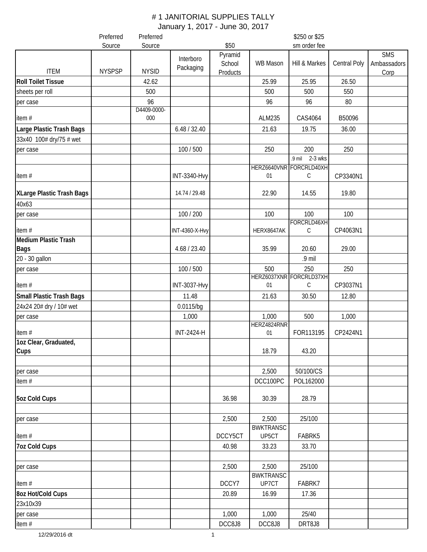|                                                     | Preferred     | Preferred         | \$250 or \$25          |                               |                           |                                |              |                                   |
|-----------------------------------------------------|---------------|-------------------|------------------------|-------------------------------|---------------------------|--------------------------------|--------------|-----------------------------------|
|                                                     | Source        | Source            |                        | \$50                          |                           | sm order fee                   |              |                                   |
| <b>ITEM</b>                                         | <b>NYSPSP</b> | <b>NYSID</b>      | Interboro<br>Packaging | Pyramid<br>School<br>Products | WB Mason                  | Hill & Markes                  | Central Poly | <b>SMS</b><br>Ambassadors<br>Corp |
| <b>Roll Toilet Tissue</b>                           |               | 42.62             |                        |                               | 25.99                     | 25.95                          | 26.50        |                                   |
| sheets per roll                                     |               | 500               |                        |                               | 500                       | 500                            | 550          |                                   |
| per case                                            |               | 96<br>D4409-0000- |                        |                               | 96                        | 96                             | 80           |                                   |
| item#                                               |               | 000               |                        |                               | ALM235                    | CAS4064                        | B50096       |                                   |
| Large Plastic Trash Bags<br>33x40 100# dry/75 # wet |               |                   | 6.48 / 32.40           |                               | 21.63                     | 19.75                          | 36.00        |                                   |
| per case                                            |               |                   | 100 / 500              |                               | 250                       | 200                            | 250          |                                   |
|                                                     |               |                   |                        |                               |                           | .9 mil 2-3 wks                 |              |                                   |
| item#                                               |               |                   | <b>INT-3340-Hvy</b>    |                               | 01                        | HERZ6640VNR FORCRLD40XH<br>C   | CP3340N1     |                                   |
| XLarge Plastic Trash Bags                           |               |                   | 14.74 / 29.48          |                               | 22.90                     | 14.55                          | 19.80        |                                   |
| 40x63                                               |               |                   |                        |                               | 100                       | 100                            | 100          |                                   |
| per case                                            |               |                   | 100 / 200              |                               |                           | FORCRLD46XH                    |              |                                   |
| item#<br><b>Medium Plastic Trash</b>                |               |                   | <b>INT-4360-X-Hvy</b>  |                               | HERX8647AK                | С                              | CP4063N1     |                                   |
| <b>Bags</b>                                         |               |                   | 4.68 / 23.40           |                               | 35.99                     | 20.60                          | 29.00        |                                   |
| 20 - 30 gallon                                      |               |                   |                        |                               |                           | .9 mil                         |              |                                   |
| per case                                            |               |                   | 100 / 500              |                               | 500                       | 250<br>HERZ6037XNR FORCRLD37XH | 250          |                                   |
| item#                                               |               |                   | <b>INT-3037-Hvy</b>    |                               | 01                        | $\mathsf C$                    | CP3037N1     |                                   |
| <b>Small Plastic Trash Bags</b>                     |               |                   | 11.48                  |                               | 21.63                     | 30.50                          | 12.80        |                                   |
| 24x24 20# dry / 10# wet                             |               |                   | $0.0115$ /bg           |                               |                           |                                |              |                                   |
| per case                                            |               |                   | 1,000                  |                               | 1,000                     | 500                            | 1,000        |                                   |
| item#                                               |               |                   | <b>INT-2424-H</b>      |                               | HERZ4824RNR<br>01         | FOR113195                      | CP2424N1     |                                   |
| 1oz Clear, Graduated,<br>Cups                       |               |                   |                        |                               | 18.79                     | 43.20                          |              |                                   |
| per case                                            |               |                   |                        |                               | 2,500                     | 50/100/CS                      |              |                                   |
| item $#$                                            |               |                   |                        |                               | DCC100PC                  | POL162000                      |              |                                   |
| <b>5oz Cold Cups</b>                                |               |                   |                        | 36.98                         | 30.39                     | 28.79                          |              |                                   |
| per case                                            |               |                   |                        | 2,500                         | 2,500                     | 25/100                         |              |                                   |
| item#                                               |               |                   |                        | DCCY5CT                       | <b>BWKTRANSC</b><br>UP5CT | FABRK5                         |              |                                   |
| <b>7oz Cold Cups</b>                                |               |                   |                        | 40.98                         | 33.23                     | 33.70                          |              |                                   |
| per case                                            |               |                   |                        | 2,500                         | 2,500                     | 25/100                         |              |                                   |
| item#                                               |               |                   |                        | DCCY7                         | <b>BWKTRANSC</b><br>UP7CT | FABRK7                         |              |                                   |
| 8oz Hot/Cold Cups<br>23x10x39                       |               |                   |                        | 20.89                         | 16.99                     | 17.36                          |              |                                   |
| per case                                            |               |                   |                        | 1,000                         | 1,000                     | 25/40                          |              |                                   |
| item #                                              |               |                   |                        | DCC8J8                        | DCC8J8                    | DRT8J8                         |              |                                   |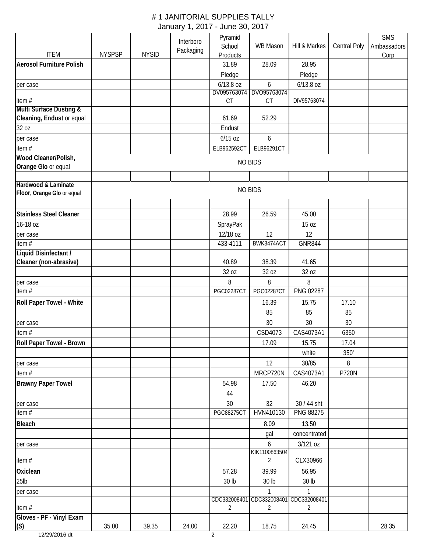|                                                 |               |              | Interboro | Pyramid                  |                    |                                 |                     | <b>SMS</b>  |
|-------------------------------------------------|---------------|--------------|-----------|--------------------------|--------------------|---------------------------------|---------------------|-------------|
|                                                 |               |              | Packaging | School                   | WB Mason           | Hill & Markes                   | <b>Central Poly</b> | Ambassadors |
| <b>ITEM</b>                                     | <b>NYSPSP</b> | <b>NYSID</b> |           | Products                 |                    |                                 |                     | Corp        |
| <b>Aerosol Furniture Polish</b>                 |               |              |           | 31.89                    | 28.09              | 28.95                           |                     |             |
|                                                 |               |              |           | Pledge                   |                    | Pledge                          |                     |             |
| per case                                        |               |              |           | 6/13.8 oz<br>DV095763074 | 6<br>DVO95763074   | 6/13.8 oz                       |                     |             |
| item#                                           |               |              |           | CT                       | CT                 | DIV95763074                     |                     |             |
| <b>Multi Surface Dusting &amp;</b>              |               |              |           |                          |                    |                                 |                     |             |
| Cleaning, Endust or equal                       |               |              |           | 61.69                    | 52.29              |                                 |                     |             |
| 32 oz                                           |               |              |           | Endust                   |                    |                                 |                     |             |
| per case                                        |               |              |           | $6/15$ oz                | 6                  |                                 |                     |             |
| item#                                           |               |              |           | ELB962592CT              | ELB96291CT         |                                 |                     |             |
| Wood Cleaner/Polish,                            |               |              |           |                          | <b>NO BIDS</b>     |                                 |                     |             |
| Orange Glo or equal                             |               |              |           |                          |                    |                                 |                     |             |
|                                                 |               |              |           |                          |                    |                                 |                     |             |
| Hardwood & Laminate                             |               |              |           |                          | <b>NO BIDS</b>     |                                 |                     |             |
| Floor, Orange Glo or equal                      |               |              |           |                          |                    |                                 |                     |             |
|                                                 |               |              |           |                          |                    |                                 |                     |             |
| <b>Stainless Steel Cleaner</b>                  |               |              |           | 28.99                    | 26.59              | 45.00                           |                     |             |
| 16-18 oz                                        |               |              |           | SprayPak                 |                    | 15 oz                           |                     |             |
| per case                                        |               |              |           | 12/18 oz                 | 12                 | 12                              |                     |             |
| item $#$                                        |               |              |           | 433-4111                 | BWK3474ACT         | <b>GNR844</b>                   |                     |             |
| Liquid Disinfectant /<br>Cleaner (non-abrasive) |               |              |           | 40.89                    | 38.39              | 41.65                           |                     |             |
|                                                 |               |              |           | 32 oz                    | 32 oz              | 32 oz                           |                     |             |
|                                                 |               |              |           | 8                        | 8                  | 8                               |                     |             |
| per case<br>item #                              |               |              |           | <b>PGC02287CT</b>        | <b>PGC02287CT</b>  | PNG 02287                       |                     |             |
|                                                 |               |              |           |                          | 16.39              | 15.75                           | 17.10               |             |
| Roll Paper Towel - White                        |               |              |           |                          | 85                 | 85                              | 85                  |             |
|                                                 |               |              |           |                          | 30                 | 30                              | 30                  |             |
| per case<br>item#                               |               |              |           |                          | CSD4073            | CAS4073A1                       | 6350                |             |
|                                                 |               |              |           |                          | 17.09              |                                 | 17.04               |             |
| <b>Roll Paper Towel - Brown</b>                 |               |              |           |                          |                    | 15.75                           |                     |             |
|                                                 |               |              |           |                          |                    | white                           | 350'                |             |
| per case                                        |               |              |           |                          | 12                 | 30/85                           | 8                   |             |
| item#                                           |               |              |           |                          | MRCP720N           | CAS4073A1                       | <b>P720N</b>        |             |
| <b>Brawny Paper Towel</b>                       |               |              |           | 54.98                    | 17.50              | 46.20                           |                     |             |
|                                                 |               |              |           | 44                       |                    |                                 |                     |             |
| per case                                        |               |              |           | 30<br><b>PGC88275CT</b>  | 32<br>HVN410130    | 30 / 44 sht<br><b>PNG 88275</b> |                     |             |
| item #                                          |               |              |           |                          |                    |                                 |                     |             |
| <b>Bleach</b>                                   |               |              |           |                          | 8.09               | 13.50                           |                     |             |
|                                                 |               |              |           |                          | gal                | concentrated                    |                     |             |
| per case                                        |               |              |           |                          | 6<br>KIK1100863504 | 3/121 oz                        |                     |             |
| item#                                           |               |              |           |                          | 2                  | CLX30966                        |                     |             |
| Oxiclean                                        |               |              |           | 57.28                    | 39.99              | 56.95                           |                     |             |
| $25$ lb                                         |               |              |           | 30 lb                    | 30 lb              | 30 lb                           |                     |             |
| per case                                        |               |              |           |                          | 1                  | 1                               |                     |             |
|                                                 |               |              |           | CDC332008401             | CDC332008401       | CDC332008401                    |                     |             |
| item #                                          |               |              |           | $\overline{2}$           | 2                  | $\overline{2}$                  |                     |             |
| Gloves - PF - Vinyl Exam                        |               |              |           |                          |                    |                                 |                     |             |
| (S)                                             | 35.00         | 39.35        | 24.00     | 22.20                    | 18.75              | 24.45                           |                     | 28.35       |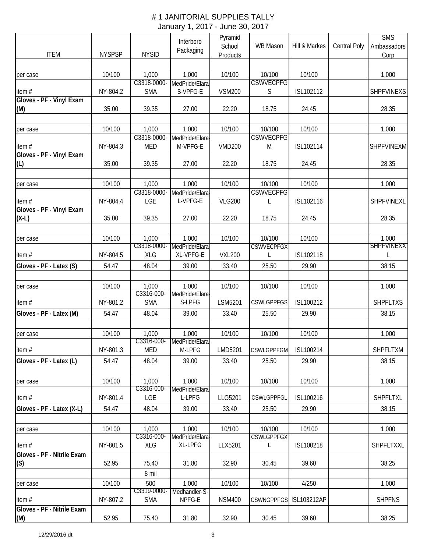|                                        |               |                           | Interboro                   | Pyramid       |                             |               |                     | <b>SMS</b>        |
|----------------------------------------|---------------|---------------------------|-----------------------------|---------------|-----------------------------|---------------|---------------------|-------------------|
|                                        |               |                           | Packaging                   | School        | <b>WB Mason</b>             | Hill & Markes | <b>Central Poly</b> | Ambassadors       |
| <b>ITEM</b>                            | <b>NYSPSP</b> | <b>NYSID</b>              |                             | Products      |                             |               |                     | Corp              |
|                                        | 10/100        | 1,000                     | 1,000                       | 10/100        | 10/100                      | 10/100        |                     | 1,000             |
| per case                               |               | C3318-0000-               | MedPride/Elara-             |               | <b>CSWVECPFG</b>            |               |                     |                   |
| item#                                  | NY-804.2      | <b>SMA</b>                | S-VPFG-E                    | <b>VSM200</b> | S                           | ISL102112     |                     | SHPFVINEXS        |
| Gloves - PF - Vinyl Exam               |               |                           |                             |               |                             |               |                     |                   |
| (M)                                    | 35.00         | 39.35                     | 27.00                       | 22.20         | 18.75                       | 24.45         |                     | 28.35             |
|                                        |               |                           |                             |               |                             |               |                     |                   |
| per case                               | 10/100        | 1,000                     | 1,000                       | 10/100        | 10/100                      | 10/100        |                     | 1,000             |
| item#                                  | NY-804.3      | C3318-0000-<br><b>MED</b> | MedPride/Elara-<br>M-VPFG-E | <b>VMD200</b> | <b>CSWVECPFG</b><br>M       | ISL102114     |                     | <b>SHPFVINEXM</b> |
| Gloves - PF - Vinyl Exam               |               |                           |                             |               |                             |               |                     |                   |
| (L)                                    | 35.00         | 39.35                     | 27.00                       | 22.20         | 18.75                       | 24.45         |                     | 28.35             |
|                                        |               |                           |                             |               |                             |               |                     |                   |
| per case                               | 10/100        | 1,000                     | 1,000                       | 10/100        | 10/100                      | 10/100        |                     | 1,000             |
|                                        |               | C3318-0000-               | MedPride/Elara-             |               | <b>CSWVECPFG</b>            |               |                     |                   |
| item#<br>Gloves - PF - Vinyl Exam      | NY-804.4      | LGE                       | L-VPFG-E                    | <b>VLG200</b> | L                           | ISL102116     |                     | SHPFVINEXL        |
| $(X-L)$                                | 35.00         | 39.35                     | 27.00                       | 22.20         | 18.75                       | 24.45         |                     | 28.35             |
|                                        |               |                           |                             |               |                             |               |                     |                   |
| per case                               | 10/100        | 1,000                     | 1,000                       | 10/100        | 10/100                      | 10/100        |                     | 1,000             |
|                                        |               | C3318-0000-               | MedPride/Elara-             |               | <b>CSWVECPFGX</b>           |               |                     | <b>SHPFVINEXX</b> |
| item $#$                               | NY-804.5      | <b>XLG</b>                | XL-VPFG-E                   | <b>VXL200</b> | L                           | ISL102118     |                     |                   |
| Gloves - PF - Latex (S)                | 54.47         | 48.04                     | 39.00                       | 33.40         | 25.50                       | 29.90         |                     | 38.15             |
|                                        |               |                           |                             |               |                             |               |                     |                   |
| per case                               | 10/100        | 1,000                     | 1,000                       | 10/100        | 10/100                      | 10/100        |                     | 1,000             |
|                                        |               | C3316-000-<br><b>SMA</b>  | MedPride/Elara<br>S-LPFG    | LSM5201       | <b>CSWLGPPFGS</b>           | ISL100212     |                     | <b>SHPFLTXS</b>   |
| item $#$                               | NY-801.2      |                           |                             |               |                             |               |                     |                   |
| Gloves - PF - Latex (M)                | 54.47         | 48.04                     | 39.00                       | 33.40         | 25.50                       | 29.90         |                     | 38.15             |
|                                        | 10/100        | 1,000                     | 1,000                       | 10/100        | 10/100                      | 10/100        |                     | 1,000             |
| per case                               |               | C3316-000-                | MedPride/Elara-             |               |                             |               |                     |                   |
| item#                                  | NY-801.3      | <b>MED</b>                | M-LPFG                      | LMD5201       | <b>CSWLGPPFGM</b>           | ISL100214     |                     | SHPFLTXM          |
| Gloves - PF - Latex (L)                | 54.47         | 48.04                     | 39.00                       | 33.40         | 25.50                       | 29.90         |                     | 38.15             |
|                                        |               |                           |                             |               |                             |               |                     |                   |
| per case                               | 10/100        | 1,000                     | 1,000                       | 10/100        | 10/100                      | 10/100        |                     | 1,000             |
|                                        |               | C3316-000-                | MedPride/Elara-             |               |                             |               |                     |                   |
| item#                                  | NY-801.4      | LGE                       | L-LPFG                      | LLG5201       | <b>CSWLGPPFGL</b>           | ISL100216     |                     | SHPFLTXL          |
| Gloves - PF - Latex (X-L)              | 54.47         | 48.04                     | 39.00                       | 33.40         | 25.50                       | 29.90         |                     | 38.15             |
|                                        |               |                           |                             |               |                             |               |                     |                   |
| per case                               | 10/100        | 1,000<br>C3316-000-       | 1,000<br>MedPride/Elara-    | 10/100        | 10/100<br><b>CSWLGPPFGX</b> | 10/100        |                     | 1,000             |
| item#                                  | NY-801.5      | XLG                       | XL-LPFG                     | LLX5201       | L                           | ISL100218     |                     | SHPFLTXXL         |
| Gloves - PF - Nitrile Exam             |               |                           |                             |               |                             |               |                     |                   |
| (S)                                    | 52.95         | 75.40                     | 31.80                       | 32.90         | 30.45                       | 39.60         |                     | 38.25             |
|                                        |               | 8 mil                     |                             |               |                             |               |                     |                   |
| per case                               | 10/100        | 500                       | 1,000                       | 10/100        | 10/100                      | 4/250         |                     | 1,000             |
|                                        |               | C3319-0000-               | Medhandler-S-<br>NPFG-E     |               |                             |               |                     |                   |
| item $#$<br>Gloves - PF - Nitrile Exam | NY-807.2      | <b>SMA</b>                |                             | <b>NSM400</b> | CSWNGPPFGS ISL103212AP      |               |                     | <b>SHPFNS</b>     |
| (M)                                    | 52.95         | 75.40                     | 31.80                       | 32.90         | 30.45                       | 39.60         |                     | 38.25             |
|                                        |               |                           |                             |               |                             |               |                     |                   |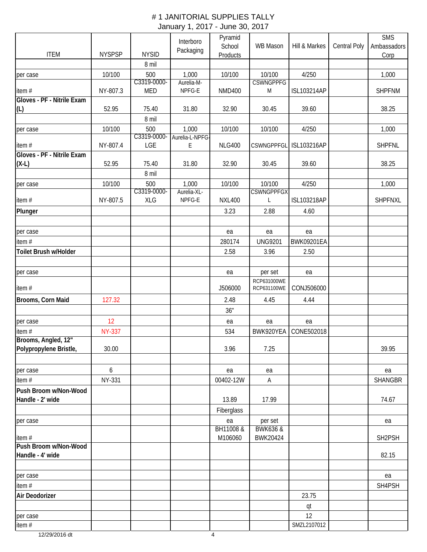|                                               |               |                    | Interboro                | Pyramid       |                     |                        |              | <b>SMS</b>          |
|-----------------------------------------------|---------------|--------------------|--------------------------|---------------|---------------------|------------------------|--------------|---------------------|
| <b>ITEM</b>                                   | <b>NYSPSP</b> | <b>NYSID</b>       | Packaging                | School        | <b>WB Mason</b>     | Hill & Markes          | Central Poly | Ambassadors         |
|                                               |               | 8 mil              |                          | Products      |                     |                        |              | Corp                |
| per case                                      | 10/100        | 500                | 1,000                    | 10/100        | 10/100              | 4/250                  |              | 1,000               |
|                                               |               | C3319-0000-        | Aurelia-M-               |               | <b>CSWNGPPFG</b>    |                        |              |                     |
| item#                                         | NY-807.3      | <b>MED</b>         | NPFG-E                   | <b>NMD400</b> | M                   | ISL103214AP            |              | <b>SHPFNM</b>       |
| Gloves - PF - Nitrile Exam                    |               |                    |                          |               |                     |                        |              |                     |
| (L)                                           | 52.95         | 75.40              | 31.80                    | 32.90         | 30.45               | 39.60                  |              | 38.25               |
|                                               |               | 8 mil              |                          |               |                     |                        |              |                     |
| per case                                      | 10/100        | 500<br>C3319-0000- | 1,000<br>Aurelia-L-NPFG- | 10/100        | 10/100              | 4/250                  |              | 1,000               |
| item#                                         | NY-807.4      | LGE                | E                        | <b>NLG400</b> |                     | CSWNGPPFGL ISL103216AP |              | <b>SHPFNL</b>       |
| Gloves - PF - Nitrile Exam                    |               |                    |                          |               |                     |                        |              |                     |
| $(X-L)$                                       | 52.95         | 75.40              | 31.80                    | 32.90         | 30.45               | 39.60                  |              | 38.25               |
|                                               |               | 8 mil              |                          |               |                     |                        |              |                     |
| per case                                      | 10/100        | 500                | 1,000                    | 10/100        | 10/100              | 4/250                  |              | 1,000               |
|                                               |               | C3319-0000-        | Aurelia-XL-              |               | <b>CSWNGPPFGX</b>   |                        |              |                     |
| item#                                         | NY-807.5      | <b>XLG</b>         | NPFG-E                   | <b>NXL400</b> | L                   | <b>ISL103218AP</b>     |              | <b>SHPFNXL</b>      |
| Plunger                                       |               |                    |                          | 3.23          | 2.88                | 4.60                   |              |                     |
|                                               |               |                    |                          |               |                     |                        |              |                     |
| per case                                      |               |                    |                          | ea            | ea                  | ea                     |              |                     |
| item#                                         |               |                    |                          | 280174        | <b>UNG9201</b>      | <b>BWK09201EA</b>      |              |                     |
| Toilet Brush w/Holder                         |               |                    |                          | 2.58          | 3.96                | 2.50                   |              |                     |
| per case                                      |               |                    |                          | ea            | per set             | ea                     |              |                     |
|                                               |               |                    |                          |               | RCP631000WE         |                        |              |                     |
| item#                                         |               |                    |                          | J506000       | RCP631100WE         | CONJ506000             |              |                     |
| Brooms, Corn Maid                             | 127.32        |                    |                          | 2.48          | 4.45                | 4.44                   |              |                     |
|                                               |               |                    |                          | 36"           |                     |                        |              |                     |
| per case                                      | 12            |                    |                          | ea            | ea                  | ea                     |              |                     |
| item#                                         | <b>NY-337</b> |                    |                          | 534           | BWK920YEA           | CONE502018             |              |                     |
| Brooms, Angled, 12"<br>Polypropylene Bristle, | 30.00         |                    |                          | 3.96          | 7.25                |                        |              | 39.95               |
|                                               |               |                    |                          |               |                     |                        |              |                     |
| per case                                      | 6             |                    |                          | ea            | ea                  |                        |              | ea                  |
| item #                                        | <b>NY-331</b> |                    |                          | 00402-12W     | Α                   |                        |              | <b>SHANGBR</b>      |
| Push Broom w/Non-Wood                         |               |                    |                          |               |                     |                        |              |                     |
| Handle - 2' wide                              |               |                    |                          | 13.89         | 17.99               |                        |              | 74.67               |
|                                               |               |                    |                          | Fiberglass    |                     |                        |              |                     |
| per case                                      |               |                    |                          | ea            | per set             |                        |              | ea                  |
|                                               |               |                    |                          | BH11008 &     | <b>BWK636 &amp;</b> |                        |              |                     |
| item#<br>Push Broom w/Non-Wood                |               |                    |                          | M106060       | BWK20424            |                        |              | SH <sub>2</sub> PSH |
| Handle - 4' wide                              |               |                    |                          |               |                     |                        |              | 82.15               |
|                                               |               |                    |                          |               |                     |                        |              |                     |
| per case                                      |               |                    |                          |               |                     |                        |              | ea                  |
| item $#$                                      |               |                    |                          |               |                     |                        |              | SH4PSH              |
| Air Deodorizer                                |               |                    |                          |               |                     | 23.75                  |              |                     |
|                                               |               |                    |                          |               |                     | qt                     |              |                     |
| per case                                      |               |                    |                          |               |                     | 12<br>SMZL2107012      |              |                     |
| item#                                         |               |                    |                          |               |                     |                        |              |                     |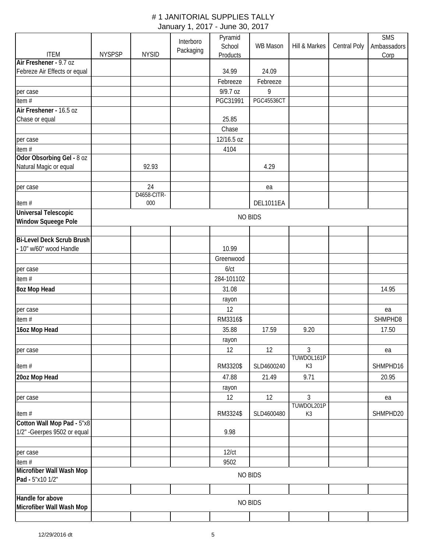|                                   |               |                    | Interboro | Pyramid<br>School | WB Mason          | Hill & Markes |              | <b>SMS</b>          |
|-----------------------------------|---------------|--------------------|-----------|-------------------|-------------------|---------------|--------------|---------------------|
| <b>ITEM</b>                       | <b>NYSPSP</b> | <b>NYSID</b>       | Packaging | Products          |                   |               | Central Poly | Ambassadors<br>Corp |
| Air Freshener - 9.7 oz            |               |                    |           |                   |                   |               |              |                     |
| Febreze Air Effects or equal      |               |                    |           | 34.99             | 24.09             |               |              |                     |
|                                   |               |                    |           | Febreeze          | Febreeze          |               |              |                     |
| per case                          |               |                    |           | 9/9.7 oz          | 9                 |               |              |                     |
| item#                             |               |                    |           | PGC31991          | <b>PGC45536CT</b> |               |              |                     |
| Air Freshener - 16.5 oz           |               |                    |           |                   |                   |               |              |                     |
| Chase or equal                    |               |                    |           | 25.85             |                   |               |              |                     |
|                                   |               |                    |           | Chase             |                   |               |              |                     |
| per case                          |               |                    |           | 12/16.5 oz        |                   |               |              |                     |
| item#                             |               |                    |           | 4104              |                   |               |              |                     |
| Odor Obsorbing Gel - 8 oz         |               |                    |           |                   |                   |               |              |                     |
| Natural Magic or equal            |               | 92.93              |           |                   | 4.29              |               |              |                     |
|                                   |               |                    |           |                   |                   |               |              |                     |
| per case                          |               | 24                 |           |                   | ea                |               |              |                     |
| item#                             |               | D4658-CITR-<br>000 |           |                   | DEL1011EA         |               |              |                     |
| <b>Universal Telescopic</b>       |               |                    |           |                   |                   |               |              |                     |
| <b>Window Squeege Pole</b>        |               |                    |           |                   | <b>NO BIDS</b>    |               |              |                     |
|                                   |               |                    |           |                   |                   |               |              |                     |
| <b>Bi-Level Deck Scrub Brush</b>  |               |                    |           |                   |                   |               |              |                     |
| - 10" w/60" wood Handle           |               |                    |           | 10.99             |                   |               |              |                     |
|                                   |               |                    |           | Greenwood         |                   |               |              |                     |
| per case                          |               |                    |           | $6$ / $ct$        |                   |               |              |                     |
| item#                             |               |                    |           | 284-101102        |                   |               |              |                     |
| 8oz Mop Head                      |               |                    |           | 31.08             |                   |               |              | 14.95               |
|                                   |               |                    |           | rayon             |                   |               |              |                     |
| per case                          |               |                    |           | 12                |                   |               |              | ea                  |
| item#                             |               |                    |           | RM3316\$          |                   |               |              | SHMPHD8             |
| 16oz Mop Head                     |               |                    |           | 35.88             | 17.59             | 9.20          |              | 17.50               |
|                                   |               |                    |           | rayon             |                   |               |              |                     |
| per case                          |               |                    |           | 12                | 12                | 3             |              | ea                  |
|                                   |               |                    |           |                   |                   | TUWDOL161P    |              |                     |
| item#                             |               |                    |           | RM3320\$          | SLD4600240        | K3            |              | SHMPHD16            |
| 20oz Mop Head                     |               |                    |           | 47.88             | 21.49             | 9.71          |              | 20.95               |
|                                   |               |                    |           | rayon             |                   |               |              |                     |
| per case                          |               |                    |           | 12                | 12                | 3             |              | ea                  |
|                                   |               |                    |           |                   |                   | TUWDOL201P    |              |                     |
| item#                             |               |                    |           | RM3324\$          | SLD4600480        | K3            |              | SHMPHD20            |
| Cotton Wall Mop Pad - 5"x8        |               |                    |           |                   |                   |               |              |                     |
| 1/2" - Geerpes 9502 or equal      |               |                    |           | 9.98              |                   |               |              |                     |
|                                   |               |                    |           |                   |                   |               |              |                     |
| per case                          |               |                    |           | 12/ct             |                   |               |              |                     |
| item#<br>Microfiber Wall Wash Mop |               |                    |           | 9502              |                   |               |              |                     |
| Pad - 5"x10 1/2"                  |               |                    |           |                   | <b>NO BIDS</b>    |               |              |                     |
|                                   |               |                    |           |                   |                   |               |              |                     |
| Handle for above                  |               |                    |           |                   |                   |               |              |                     |
| Microfiber Wall Wash Mop          |               |                    |           |                   | <b>NO BIDS</b>    |               |              |                     |
|                                   |               |                    |           |                   |                   |               |              |                     |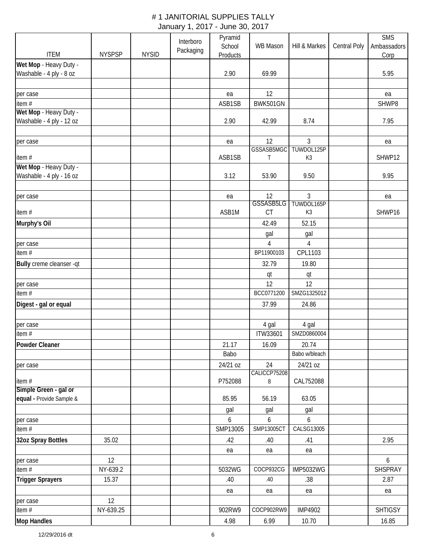|                          |               |              | Interboro | Pyramid         |              |                  |                     | <b>SMS</b>     |
|--------------------------|---------------|--------------|-----------|-----------------|--------------|------------------|---------------------|----------------|
|                          |               |              | Packaging | School          | WB Mason     | Hill & Markes    | <b>Central Poly</b> | Ambassadors    |
| <b>ITEM</b>              | <b>NYSPSP</b> | <b>NYSID</b> |           | <b>Products</b> |              |                  |                     | Corp           |
| Wet Mop - Heavy Duty -   |               |              |           |                 |              |                  |                     |                |
| Washable - 4 ply - 8 oz  |               |              |           | 2.90            | 69.99        |                  |                     | 5.95           |
|                          |               |              |           |                 |              |                  |                     |                |
| per case                 |               |              |           | ea              | 12           |                  |                     | ea             |
| item#                    |               |              |           | ASB1SB          | BWK501GN     |                  |                     | SHWP8          |
| Wet Mop - Heavy Duty -   |               |              |           |                 |              |                  |                     |                |
| Washable - 4 ply - 12 oz |               |              |           | 2.90            | 42.99        | 8.74             |                     | 7.95           |
|                          |               |              |           |                 |              |                  |                     |                |
| per case                 |               |              |           | ea              | 12           | $\overline{3}$   |                     | ea             |
|                          |               |              |           |                 | GSSASB5MGC   | TUWDOL125P       |                     |                |
| item#                    |               |              |           | ASB1SB          | Τ            | K3               |                     | SHWP12         |
| Wet Mop - Heavy Duty -   |               |              |           |                 |              |                  |                     |                |
| Washable - 4 ply - 16 oz |               |              |           | 3.12            | 53.90        | 9.50             |                     | 9.95           |
|                          |               |              |           |                 |              |                  |                     |                |
| per case                 |               |              |           | ea              | 12           | 3                |                     | ea             |
|                          |               |              |           |                 | GSSASB5LG    | TUWDOL165P       |                     |                |
| item#                    |               |              |           | ASB1M           | CT           | K3               |                     | SHWP16         |
| Murphy's Oil             |               |              |           |                 | 42.49        | 52.15            |                     |                |
|                          |               |              |           |                 | gal          | gal              |                     |                |
| per case                 |               |              |           |                 | 4            | 4                |                     |                |
| item $#$                 |               |              |           |                 | BP11900103   | CPL1103          |                     |                |
| Bully creme cleanser -qt |               |              |           |                 | 32.79        | 19.80            |                     |                |
|                          |               |              |           |                 | qt           | qt               |                     |                |
| per case                 |               |              |           |                 | 12           | 12               |                     |                |
| item #                   |               |              |           |                 | BCC0771200   | SMZG1325012      |                     |                |
|                          |               |              |           |                 |              |                  |                     |                |
| Digest - gal or equal    |               |              |           |                 | 37.99        | 24.86            |                     |                |
|                          |               |              |           |                 |              |                  |                     |                |
| per case                 |               |              |           |                 | 4 gal        | 4 gal            |                     |                |
| item #                   |               |              |           |                 | ITW33601     | SMZD0860004      |                     |                |
| Powder Cleaner           |               |              |           | 21.17           | 16.09        | 20.74            |                     |                |
|                          |               |              |           | Babo            |              | Babo w/bleach    |                     |                |
| per case                 |               |              |           | 24/21 oz        | 24           | 24/21 oz         |                     |                |
|                          |               |              |           |                 | CALICCP75208 |                  |                     |                |
| item#                    |               |              |           | P752088         | 8            | CAL752088        |                     |                |
| Simple Green - gal or    |               |              |           |                 |              |                  |                     |                |
| equal - Provide Sample & |               |              |           | 85.95           | 56.19        | 63.05            |                     |                |
|                          |               |              |           | gal             | gal          | gal              |                     |                |
| per case                 |               |              |           | 6               | 6            | 6                |                     |                |
| item $#$                 |               |              |           | SMP13005        | SMP13005CT   | CALSG13005       |                     |                |
| 32oz Spray Bottles       | 35.02         |              |           | .42             | .40          | .41              |                     | 2.95           |
|                          |               |              |           | ea              | ea           | ea               |                     |                |
| per case                 | 12            |              |           |                 |              |                  |                     | 6              |
| item $#$                 | NY-639.2      |              |           | 5032WG          | COCP932CG    | <b>IMP5032WG</b> |                     | SHSPRAY        |
| <b>Trigger Sprayers</b>  | 15.37         |              |           | .40             | .40          | .38              |                     | 2.87           |
|                          |               |              |           | ea              | ea           | ea               |                     | ea             |
| per case                 | 12            |              |           |                 |              |                  |                     |                |
| item #                   | NY-639.25     |              |           | 902RW9          | COCP902RW9   | <b>IMP4902</b>   |                     | <b>SHTIGSY</b> |
|                          |               |              |           |                 |              |                  |                     |                |
| <b>Mop Handles</b>       |               |              |           | 4.98            | 6.99         | 10.70            |                     | 16.85          |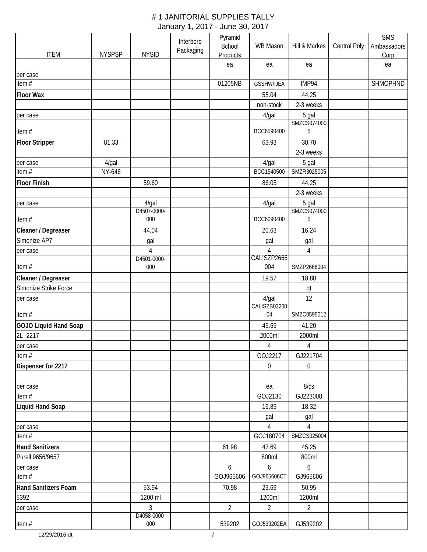|                              |               |                               | Interboro | Pyramid        |                               |                      |                     | <b>SMS</b>  |
|------------------------------|---------------|-------------------------------|-----------|----------------|-------------------------------|----------------------|---------------------|-------------|
|                              |               |                               | Packaging | School         | WB Mason                      | Hill & Markes        | <b>Central Poly</b> | Ambassadors |
| <b>ITEM</b>                  | <b>NYSPSP</b> | <b>NYSID</b>                  |           | Products       |                               |                      |                     | Corp        |
| per case                     |               |                               |           | ea             | ea                            | ea                   |                     | ea          |
| item #                       |               |                               |           | 01205NB        | <b>GSSHWFJEA</b>              | IMP94                |                     | SHMOPHND    |
| <b>Floor Wax</b>             |               |                               |           |                | 55.04                         | 44.25                |                     |             |
|                              |               |                               |           |                | non-stock                     | 2-3 weeks            |                     |             |
| per case                     |               |                               |           |                | 4/gal                         | 5 gal                |                     |             |
|                              |               |                               |           |                |                               | SMZCS074000          |                     |             |
| item#                        |               |                               |           |                | BCC6590400                    | 5                    |                     |             |
| <b>Floor Stripper</b>        | 81.33         |                               |           |                | 63.93                         | 30.70                |                     |             |
|                              |               |                               |           |                |                               | 2-3 weeks            |                     |             |
| per case                     | $4$ /gal      |                               |           |                | 4/gal                         | 5 gal                |                     |             |
| item #                       | NY-646        |                               |           |                | BCC1540500                    | SMZR3025005          |                     |             |
|                              |               |                               |           |                |                               |                      |                     |             |
| <b>Floor Finish</b>          |               | 59.60                         |           |                | 86.05                         | 44.25                |                     |             |
|                              |               |                               |           |                |                               | 2-3 weeks            |                     |             |
| per case                     |               | 4/gal<br>D4507-0000-          |           |                | 4/gal                         | 5 gal<br>SMZCS074000 |                     |             |
| item#                        |               | 000                           |           |                | BCC6090400                    | 5                    |                     |             |
| Cleaner / Degreaser          |               | 44.04                         |           |                | 20.63                         | 16.24                |                     |             |
| Simonize AP7                 |               | gal                           |           |                | gal                           | gal                  |                     |             |
| per case                     |               | $\overline{4}$<br>D4501-0000- |           |                | $\overline{4}$<br>CALISZP2666 | 4                    |                     |             |
| item#                        |               | 000                           |           |                | 004                           | SMZP2666004          |                     |             |
| Cleaner / Degreaser          |               |                               |           |                | 19.57                         | 18.80                |                     |             |
| Simonize Strike Force        |               |                               |           |                |                               | qt                   |                     |             |
| per case                     |               |                               |           |                | 4/gal                         | 12                   |                     |             |
|                              |               |                               |           |                | CALISZB03200                  |                      |                     |             |
| item#                        |               |                               |           |                | 04                            | SMZC0595012          |                     |             |
| <b>GOJO Liquid Hand Soap</b> |               |                               |           |                | 45.69                         | 41.20                |                     |             |
| 2L-2217                      |               |                               |           |                | 2000ml                        | 2000ml               |                     |             |
| per case                     |               |                               |           |                | $\overline{4}$                | $\overline{4}$       |                     |             |
| item#                        |               |                               |           |                | GOJ2217                       | GJ221704             |                     |             |
| Dispenser for 2217           |               |                               |           |                | $\boldsymbol{0}$              | $\mathbf 0$          |                     |             |
|                              |               |                               |           |                |                               |                      |                     |             |
| per case                     |               |                               |           |                | ea                            | 8/cs                 |                     |             |
| item $#$                     |               |                               |           |                | GOJ2130                       | GJ223008             |                     |             |
| <b>Liquid Hand Soap</b>      |               |                               |           |                | 16.89                         | 18.32                |                     |             |
|                              |               |                               |           |                |                               |                      |                     |             |
|                              |               |                               |           |                | gal                           | gal                  |                     |             |
| per case<br>item $#$         |               |                               |           |                | 4<br>GOJ180704                | 4<br>SMZCS025004     |                     |             |
|                              |               |                               |           |                |                               |                      |                     |             |
| <b>Hand Sanitizers</b>       |               |                               |           | 61.98          | 47.69                         | 45.25                |                     |             |
| Purell 9656/9657             |               |                               |           |                | 800ml                         | 800ml                |                     |             |
| per case                     |               |                               |           | 6              | 6                             | $6\overline{6}$      |                     |             |
| item#                        |               |                               |           | GOJ965606      | GOJ965606CT                   | GJ965606             |                     |             |
| Hand Sanitizers Foam         |               | 53.94                         |           | 70.98          | 23.69                         | 50.95                |                     |             |
| 5392                         |               | 1200 ml                       |           |                | 1200ml                        | 1200ml               |                     |             |
| per case                     |               | $\mathfrak{Z}$                |           | $\overline{2}$ | $\overline{2}$                | $\overline{2}$       |                     |             |
|                              |               | D4058-0000-                   |           |                |                               |                      |                     |             |
| item#                        |               | $000\,$                       |           | 539202         | GOJ539202EA                   | GJ539202             |                     |             |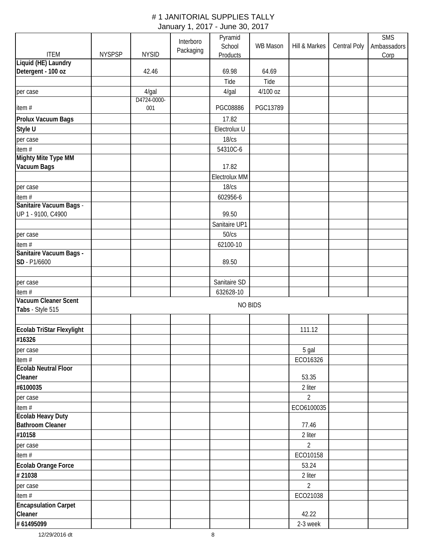|                             |               |              |           | Pyramid              |                 |                |              | <b>SMS</b>  |
|-----------------------------|---------------|--------------|-----------|----------------------|-----------------|----------------|--------------|-------------|
|                             |               |              | Interboro | School               | <b>WB Mason</b> | Hill & Markes  | Central Poly | Ambassadors |
| <b>ITEM</b>                 | <b>NYSPSP</b> | <b>NYSID</b> | Packaging | Products             |                 |                |              | Corp        |
| Liquid (HE) Laundry         |               |              |           |                      |                 |                |              |             |
| Detergent - 100 oz          |               | 42.46        |           | 69.98                | 64.69           |                |              |             |
|                             |               |              |           | Tide                 | Tide            |                |              |             |
| per case                    |               | 4/gal        |           | $4$ /gal             | 4/100 oz        |                |              |             |
|                             |               | D4724-0000-  |           |                      |                 |                |              |             |
| item#                       |               | 001          |           | PGC08886             | PGC13789        |                |              |             |
| Prolux Vacuum Bags          |               |              |           | 17.82                |                 |                |              |             |
| Style U                     |               |              |           | Electrolux U         |                 |                |              |             |
| per case                    |               |              |           | 18/cs                |                 |                |              |             |
| item#                       |               |              |           | 54310C-6             |                 |                |              |             |
| <b>Mighty Mite Type MM</b>  |               |              |           |                      |                 |                |              |             |
| Vacuum Bags                 |               |              |           | 17.82                |                 |                |              |             |
|                             |               |              |           | <b>Electrolux MM</b> |                 |                |              |             |
| per case                    |               |              |           | 18/cs                |                 |                |              |             |
| item#                       |               |              |           | 602956-6             |                 |                |              |             |
| Sanitaire Vacuum Bags -     |               |              |           |                      |                 |                |              |             |
| UP 1 - 9100, C4900          |               |              |           | 99.50                |                 |                |              |             |
|                             |               |              |           | Sanitaire UP1        |                 |                |              |             |
| per case                    |               |              |           | 50/cs                |                 |                |              |             |
| item #                      |               |              |           | 62100-10             |                 |                |              |             |
| Sanitaire Vacuum Bags -     |               |              |           |                      |                 |                |              |             |
| SD - P1/6600                |               |              |           | 89.50                |                 |                |              |             |
|                             |               |              |           |                      |                 |                |              |             |
| per case                    |               |              |           | Sanitaire SD         |                 |                |              |             |
| item#                       |               |              |           | 632628-10            |                 |                |              |             |
| Vacuum Cleaner Scent        |               |              |           | <b>NO BIDS</b>       |                 |                |              |             |
| Tabs - Style 515            |               |              |           |                      |                 |                |              |             |
|                             |               |              |           |                      |                 |                |              |             |
| Ecolab TriStar Flexylight   |               |              |           |                      |                 | 111.12         |              |             |
| #16326                      |               |              |           |                      |                 |                |              |             |
| per case                    |               |              |           |                      |                 | 5 gal          |              |             |
| item#                       |               |              |           |                      |                 | ECO16326       |              |             |
| <b>Ecolab Neutral Floor</b> |               |              |           |                      |                 |                |              |             |
| Cleaner                     |               |              |           |                      |                 | 53.35          |              |             |
| #6100035                    |               |              |           |                      |                 | 2 liter        |              |             |
| per case                    |               |              |           |                      |                 | $\overline{2}$ |              |             |
| item #                      |               |              |           |                      |                 | ECO6100035     |              |             |
| <b>Ecolab Heavy Duty</b>    |               |              |           |                      |                 |                |              |             |
| <b>Bathroom Cleaner</b>     |               |              |           |                      |                 | 77.46          |              |             |
| #10158                      |               |              |           |                      |                 | 2 liter        |              |             |
| per case                    |               |              |           |                      |                 | $\overline{2}$ |              |             |
| item #                      |               |              |           |                      |                 | ECO10158       |              |             |
| Ecolab Orange Force         |               |              |           |                      |                 | 53.24          |              |             |
| #21038                      |               |              |           |                      |                 | 2 liter        |              |             |
| per case                    |               |              |           |                      |                 | $\overline{2}$ |              |             |
| item #                      |               |              |           |                      |                 | ECO21038       |              |             |
| <b>Encapsulation Carpet</b> |               |              |           |                      |                 |                |              |             |
| Cleaner                     |               |              |           |                      |                 | 42.22          |              |             |
| # 61495099                  |               |              |           |                      |                 | 2-3 week       |              |             |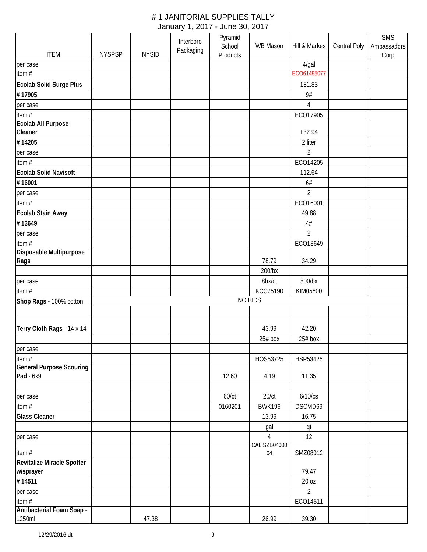|                                           |               |              | Interboro | Pyramid  |                                |                |              | <b>SMS</b>  |
|-------------------------------------------|---------------|--------------|-----------|----------|--------------------------------|----------------|--------------|-------------|
|                                           |               |              | Packaging | School   | WB Mason                       | Hill & Markes  | Central Poly | Ambassadors |
| <b>ITEM</b>                               | <b>NYSPSP</b> | <b>NYSID</b> |           | Products |                                |                |              | Corp        |
| per case                                  |               |              |           |          |                                | 4/gal          |              |             |
| item#                                     |               |              |           |          |                                | ECO61495077    |              |             |
| Ecolab Solid Surge Plus                   |               |              |           |          |                                | 181.83         |              |             |
| #17905                                    |               |              |           |          |                                | 9#             |              |             |
| per case                                  |               |              |           |          |                                | 4              |              |             |
| item #                                    |               |              |           |          |                                | ECO17905       |              |             |
| Ecolab All Purpose                        |               |              |           |          |                                |                |              |             |
| Cleaner                                   |               |              |           |          |                                | 132.94         |              |             |
| #14205                                    |               |              |           |          |                                | 2 liter        |              |             |
| per case                                  |               |              |           |          |                                | $\overline{2}$ |              |             |
| item#                                     |               |              |           |          |                                | ECO14205       |              |             |
| <b>Ecolab Solid Navisoft</b>              |               |              |           |          |                                | 112.64         |              |             |
| #16001                                    |               |              |           |          |                                | 6#             |              |             |
| per case                                  |               |              |           |          |                                | $\overline{2}$ |              |             |
| item #                                    |               |              |           |          |                                | ECO16001       |              |             |
| Ecolab Stain Away                         |               |              |           |          |                                | 49.88          |              |             |
| #13649                                    |               |              |           |          |                                | 4#             |              |             |
| per case                                  |               |              |           |          |                                | $\overline{2}$ |              |             |
| item $#$                                  |               |              |           |          |                                | ECO13649       |              |             |
| Disposable Multipurpose                   |               |              |           |          |                                |                |              |             |
| Rags                                      |               |              |           |          | 78.79                          | 34.29          |              |             |
|                                           |               |              |           |          | 200/bx                         |                |              |             |
| per case                                  |               |              |           |          | 8bx/ct                         | 800/bx         |              |             |
| item $#$                                  |               |              |           |          | KCC75190                       | KIM05800       |              |             |
|                                           |               |              |           |          | <b>NO BIDS</b>                 |                |              |             |
| Shop Rags - 100% cotton                   |               |              |           |          |                                |                |              |             |
|                                           |               |              |           |          |                                |                |              |             |
| Terry Cloth Rags - 14 x 14                |               |              |           |          | 43.99                          | 42.20          |              |             |
|                                           |               |              |           |          | $25#$ box                      | $25#$ box      |              |             |
|                                           |               |              |           |          |                                |                |              |             |
| per case                                  |               |              |           |          |                                |                |              |             |
| item #<br><b>General Purpose Scouring</b> |               |              |           |          | HOS53725                       | HSP53425       |              |             |
| Pad - 6x9                                 |               |              |           | 12.60    | 4.19                           | 11.35          |              |             |
|                                           |               |              |           |          |                                |                |              |             |
| per case                                  |               |              |           | 60/ct    | 20/ct                          | $6/10$ / $cs$  |              |             |
| item #                                    |               |              |           | 0160201  | <b>BWK196</b>                  | DSCMD69        |              |             |
| <b>Glass Cleaner</b>                      |               |              |           |          | 13.99                          | 16.75          |              |             |
|                                           |               |              |           |          |                                |                |              |             |
|                                           |               |              |           |          | gal                            | qt             |              |             |
| per case                                  |               |              |           |          | $\overline{4}$<br>CALISZB04000 | 12             |              |             |
| item#                                     |               |              |           |          | 04                             | SMZ08012       |              |             |
| Revitalize Miracle Spotter                |               |              |           |          |                                |                |              |             |
| w/sprayer                                 |               |              |           |          |                                | 79.47          |              |             |
| #14511                                    |               |              |           |          |                                | 20 oz          |              |             |
| per case                                  |               |              |           |          |                                | $\overline{2}$ |              |             |
| item $#$                                  |               |              |           |          |                                | ECO14511       |              |             |
| Antibacterial Foam Soap -                 |               |              |           |          |                                |                |              |             |
| 1250ml                                    |               | 47.38        |           |          | 26.99                          | 39.30          |              |             |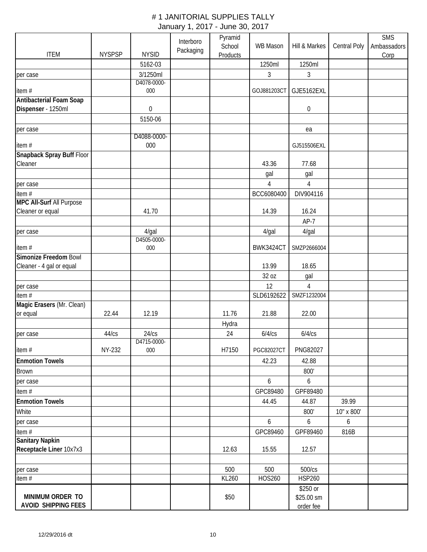|                                           |               |                         | Interboro | Pyramid<br>School | WB Mason          | Hill & Markes    | Central Poly | <b>SMS</b><br>Ambassadors |
|-------------------------------------------|---------------|-------------------------|-----------|-------------------|-------------------|------------------|--------------|---------------------------|
| <b>ITEM</b>                               | <b>NYSPSP</b> | <b>NYSID</b>            | Packaging | Products          |                   |                  |              | Corp                      |
|                                           |               | 5162-03                 |           |                   | 1250ml            | 1250ml           |              |                           |
| per case                                  |               | 3/1250ml                |           |                   | $\mathfrak{Z}$    | $\mathfrak{Z}$   |              |                           |
|                                           |               | D4078-0000-             |           |                   |                   |                  |              |                           |
| item#                                     |               | 000                     |           |                   | GOJ881203CT       | GJE5162EXL       |              |                           |
| <b>Antibacterial Foam Soap</b>            |               |                         |           |                   |                   |                  |              |                           |
| Dispenser - 1250ml                        |               | 0                       |           |                   |                   | $\boldsymbol{0}$ |              |                           |
|                                           |               | 5150-06                 |           |                   |                   |                  |              |                           |
| per case                                  |               | D4088-0000-             |           |                   |                   | ea               |              |                           |
| item#                                     |               | 000                     |           |                   |                   | GJ515506EXL      |              |                           |
| Snapback Spray Buff Floor                 |               |                         |           |                   |                   |                  |              |                           |
| Cleaner                                   |               |                         |           |                   | 43.36             | 77.68            |              |                           |
|                                           |               |                         |           |                   | gal               | gal              |              |                           |
|                                           |               |                         |           |                   | $\overline{4}$    | 4                |              |                           |
| per case                                  |               |                         |           |                   |                   |                  |              |                           |
| item #<br><b>MPC All-Surf All Purpose</b> |               |                         |           |                   | BCC6080400        | DIV904116        |              |                           |
| Cleaner or equal                          |               | 41.70                   |           |                   | 14.39             | 16.24            |              |                           |
|                                           |               |                         |           |                   |                   | $AP-7$           |              |                           |
|                                           |               |                         |           |                   |                   |                  |              |                           |
| per case                                  |               | $4$ /gal<br>D4505-0000- |           |                   | $4$ /gal          | $4$ /gal         |              |                           |
| item#                                     |               | 000                     |           |                   | <b>BWK3424CT</b>  | SMZP2666004      |              |                           |
| Simonize Freedom Bowl                     |               |                         |           |                   |                   |                  |              |                           |
| Cleaner - 4 gal or equal                  |               |                         |           |                   | 13.99             | 18.65            |              |                           |
|                                           |               |                         |           |                   | 32 oz             | gal              |              |                           |
| per case                                  |               |                         |           |                   | 12                | 4                |              |                           |
| item $#$                                  |               |                         |           |                   | SLD6192622        | SMZF1232004      |              |                           |
| Magic Erasers (Mr. Clean)                 |               |                         |           |                   |                   |                  |              |                           |
| or equal                                  | 22.44         | 12.19                   |           | 11.76             | 21.88             | 22.00            |              |                           |
|                                           |               |                         |           | Hydra             |                   |                  |              |                           |
| per case                                  | 44/cs         | 24/cs                   |           | 24                | 6/4/cs            | 6/4/cs           |              |                           |
|                                           |               | D4715-0000-             |           |                   |                   |                  |              |                           |
| item#                                     | NY-232        | 000                     |           | H7150             | <b>PGC82027CT</b> | PNG82027         |              |                           |
| <b>Enmotion Towels</b>                    |               |                         |           |                   | 42.23             | 42.88            |              |                           |
| <b>Brown</b>                              |               |                         |           |                   |                   | 800'             |              |                           |
| per case                                  |               |                         |           |                   | 6                 | 6                |              |                           |
| item#                                     |               |                         |           |                   | GPC89480          | GPF89480         |              |                           |
| <b>Enmotion Towels</b>                    |               |                         |           |                   | 44.45             | 44.87            | 39.99        |                           |
| White                                     |               |                         |           |                   |                   | 800'             | 10" x 800'   |                           |
| per case                                  |               |                         |           |                   | 6                 | 6                | 6            |                           |
| item#                                     |               |                         |           |                   | GPC89460          | GPF89460         | 816B         |                           |
| <b>Sanitary Napkin</b>                    |               |                         |           |                   |                   |                  |              |                           |
| Receptacle Liner 10x7x3                   |               |                         |           | 12.63             | 15.55             | 12.57            |              |                           |
|                                           |               |                         |           |                   |                   |                  |              |                           |
| per case                                  |               |                         |           | 500               | 500               | 500/cs           |              |                           |
| item #                                    |               |                         |           | KL260             | <b>HOS260</b>     | <b>HSP260</b>    |              |                           |
|                                           |               |                         |           |                   |                   | \$250 or         |              |                           |
| MINIMUM ORDER TO                          |               |                         |           | \$50              |                   | \$25.00 sm       |              |                           |
| <b>AVOID SHIPPING FEES</b>                |               |                         |           |                   |                   | order fee        |              |                           |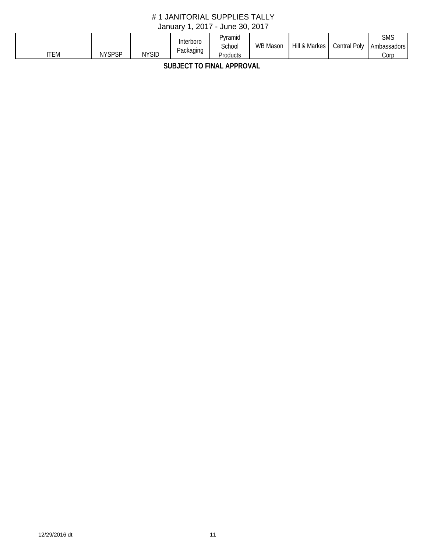| <b>'TEM</b> | <b>NYSPSP</b> | <b>NYSID</b> | Interboro<br>Packaging<br>$\cdot$ | Pyramid<br>School<br>Products | <b>WB Mason</b> | & Markes<br>Hil' | $D_{\text{O}}$<br>Central | SMS<br>Ambassadors<br>Corp |
|-------------|---------------|--------------|-----------------------------------|-------------------------------|-----------------|------------------|---------------------------|----------------------------|
|-------------|---------------|--------------|-----------------------------------|-------------------------------|-----------------|------------------|---------------------------|----------------------------|

**SUBJECT TO FINAL APPROVAL**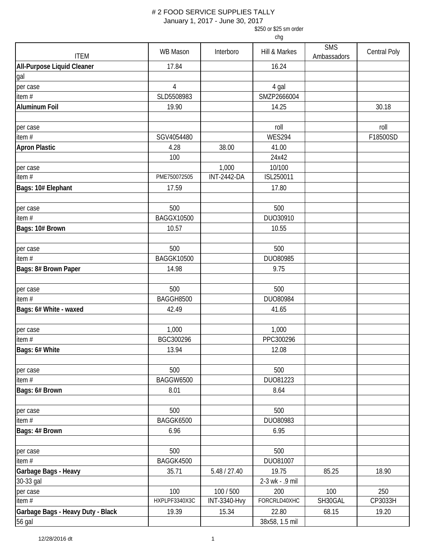January 1, 2017 - June 30, 2017

\$250 or \$25 sm order

| <b>ITEM</b>                       | WB Mason          | Interboro           | Hill & Markes   | <b>SMS</b><br>Ambassadors | <b>Central Poly</b> |
|-----------------------------------|-------------------|---------------------|-----------------|---------------------------|---------------------|
| <b>All-Purpose Liquid Cleaner</b> | 17.84             |                     | 16.24           |                           |                     |
| gal                               |                   |                     |                 |                           |                     |
| per case                          | $\overline{4}$    |                     | 4 gal           |                           |                     |
| item#                             | SLD5508983        |                     | SMZP2666004     |                           |                     |
| <b>Aluminum Foil</b>              | 19.90             |                     | 14.25           |                           | 30.18               |
|                                   |                   |                     |                 |                           |                     |
| per case                          |                   |                     | roll            |                           | roll                |
| item#                             | SGV4054480        |                     | <b>WES294</b>   |                           | F18500SD            |
| <b>Apron Plastic</b>              | 4.28              | 38.00               | 41.00           |                           |                     |
|                                   | 100               |                     | 24x42           |                           |                     |
| per case                          |                   | 1,000               | 10/100          |                           |                     |
| item $#$                          | PME750072505      | <b>INT-2442-DA</b>  | ISL250011       |                           |                     |
| Bags: 10# Elephant                | 17.59             |                     | 17.80           |                           |                     |
|                                   |                   |                     |                 |                           |                     |
| per case                          | 500               |                     | 500             |                           |                     |
| item $#$                          | <b>BAGGX10500</b> |                     | DUO30910        |                           |                     |
| Bags: 10# Brown                   | 10.57             |                     | 10.55           |                           |                     |
|                                   |                   |                     |                 |                           |                     |
| per case                          | 500               |                     | 500             |                           |                     |
| item #                            | <b>BAGGK10500</b> |                     | DUO80985        |                           |                     |
| Bags: 8# Brown Paper              | 14.98             |                     | 9.75            |                           |                     |
|                                   |                   |                     |                 |                           |                     |
| per case                          | 500               |                     | 500             |                           |                     |
| item #                            | BAGGH8500         |                     | DUO80984        |                           |                     |
| Bags: 6# White - waxed            | 42.49             |                     | 41.65           |                           |                     |
|                                   |                   |                     |                 |                           |                     |
| per case                          | 1,000             |                     | 1,000           |                           |                     |
| item#                             | BGC300296         |                     | PPC300296       |                           |                     |
| Bags: 6# White                    | 13.94             |                     | 12.08           |                           |                     |
|                                   |                   |                     |                 |                           |                     |
| per case                          | 500               |                     | 500             |                           |                     |
| item#                             | <b>BAGGW6500</b>  |                     | DU081223        |                           |                     |
| Bags: 6# Brown                    | 8.01              |                     | 8.64            |                           |                     |
|                                   |                   |                     |                 |                           |                     |
| per case                          | 500               |                     | 500             |                           |                     |
| item#                             | BAGGK6500         |                     | DUO80983        |                           |                     |
| Bags: 4# Brown                    | 6.96              |                     | 6.95            |                           |                     |
|                                   |                   |                     |                 |                           |                     |
| per case                          | 500               |                     | 500             |                           |                     |
| item $#$                          | BAGGK4500         |                     | DU081007        |                           |                     |
| Garbage Bags - Heavy              | 35.71             | 5.48 / 27.40        | 19.75           | 85.25                     | 18.90               |
| 30-33 gal                         |                   |                     | 2-3 wk - .9 mil |                           |                     |
| per case                          | 100               | 100 / 500           | 200             | 100                       | 250                 |
| item#                             | HXPLPF3340X3C     | <b>INT-3340-Hvy</b> | FORCRLD40XHC    | SH30GAL                   | CP3033H             |
| Garbage Bags - Heavy Duty - Black | 19.39             | 15.34               | 22.80           | 68.15                     | 19.20               |
| 56 gal                            |                   |                     | 38x58, 1.5 mil  |                           |                     |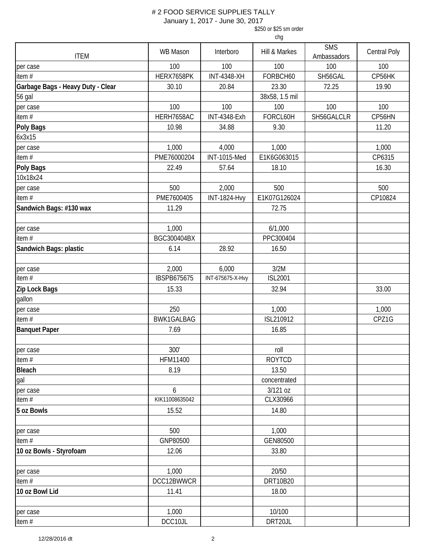January 1, 2017 - June 30, 2017

\$250 or \$25 sm order

| <b>ITEM</b>                       | <b>WB Mason</b>    | Interboro           | Hill & Markes  | <b>SMS</b><br>Ambassadors | Central Poly |
|-----------------------------------|--------------------|---------------------|----------------|---------------------------|--------------|
| per case                          | 100                | 100                 | 100            | 100                       | 100          |
| item#                             | HERX7658PK         | <b>INT-4348-XH</b>  | FORBCH60       | SH56GAL                   | CP56HK       |
| Garbage Bags - Heavy Duty - Clear | 30.10              | 20.84               | 23.30          | 72.25                     | 19.90        |
| <b>56 gal</b>                     |                    |                     | 38x58, 1.5 mil |                           |              |
| per case                          | 100                | 100                 | 100            | 100                       | 100          |
| item#                             | HERH7658AC         | <b>INT-4348-Exh</b> | FORCL60H       | SH56GALCLR                | CP56HN       |
| <b>Poly Bags</b>                  | 10.98              | 34.88               | 9.30           |                           | 11.20        |
| 6x3x15                            |                    |                     |                |                           |              |
| per case                          | 1,000              | 4,000               | 1,000          |                           | 1,000        |
| item #                            | PME76000204        | <b>INT-1015-Med</b> | E1K6G063015    |                           | CP6315       |
| <b>Poly Bags</b>                  | 22.49              | 57.64               | 18.10          |                           | 16.30        |
| 10x18x24                          |                    |                     |                |                           |              |
| per case                          | 500                | 2,000               | 500            |                           | 500          |
| item $#$                          | PME7600405         | <b>INT-1824-Hvy</b> | E1K07G126024   |                           | CP10824      |
| Sandwich Bags: #130 wax           | 11.29              |                     | 72.75          |                           |              |
|                                   |                    |                     |                |                           |              |
| per case                          | 1,000              |                     | 6/1,000        |                           |              |
| item#                             | BGC300404BX        |                     | PPC300404      |                           |              |
| Sandwich Bags: plastic            | 6.14               | 28.92               | 16.50          |                           |              |
|                                   |                    |                     |                |                           |              |
| per case                          | 2,000              | 6,000               | 3/2M           |                           |              |
| item $#$                          | <b>IBSPB675675</b> | INT-675675-X-Hvy    | <b>ISL2001</b> |                           |              |
| Zip Lock Bags                     | 15.33              |                     | 32.94          |                           | 33.00        |
| gallon                            |                    |                     |                |                           |              |
| per case                          | 250                |                     | 1,000          |                           | 1,000        |
| item $#$                          | <b>BWK1GALBAG</b>  |                     | ISL210912      |                           | CPZ1G        |
| <b>Banquet Paper</b>              | 7.69               |                     | 16.85          |                           |              |
|                                   |                    |                     |                |                           |              |
| per case                          | 300'               |                     | roll           |                           |              |
| item#                             | HFM11400           |                     | <b>ROYTCD</b>  |                           |              |
| Bleach                            | 8.19               |                     | 13.50          |                           |              |
| gal                               |                    |                     | concentrated   |                           |              |
| per case                          | 6                  |                     | 3/121 oz       |                           |              |
| item#                             | KIK11008635042     |                     | CLX30966       |                           |              |
| 5 oz Bowls                        | 15.52              |                     | 14.80          |                           |              |
|                                   |                    |                     |                |                           |              |
| per case                          | 500                |                     | 1,000          |                           |              |
| item#                             | GNP80500           |                     | GEN80500       |                           |              |
| 10 oz Bowls - Styrofoam           | 12.06              |                     | 33.80          |                           |              |
|                                   |                    |                     |                |                           |              |
| per case                          | 1,000              |                     | 20/50          |                           |              |
| item#                             | DCC12BWWCR         |                     | DRT10B20       |                           |              |
| 10 oz Bowl Lid                    | 11.41              |                     | 18.00          |                           |              |
|                                   |                    |                     |                |                           |              |
| per case                          | 1,000              |                     | 10/100         |                           |              |
| item#                             | DCC10JL            |                     | DRT20JL        |                           |              |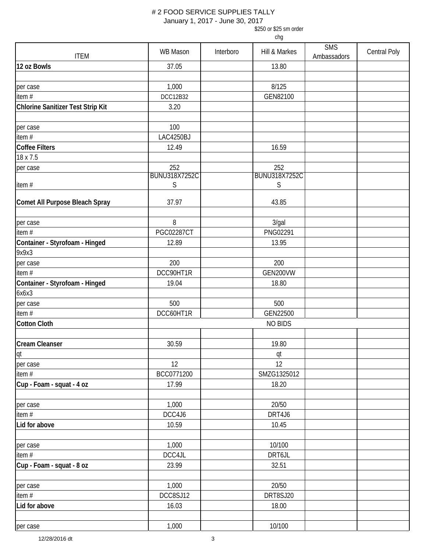January 1, 2017 - June 30, 2017

\$250 or \$25 sm order

| <b>ITEM</b>                       | WB Mason             | Interboro | Hill & Markes        | <b>SMS</b><br>Ambassadors | <b>Central Poly</b> |
|-----------------------------------|----------------------|-----------|----------------------|---------------------------|---------------------|
| 12 oz Bowls                       | 37.05                |           | 13.80                |                           |                     |
|                                   |                      |           |                      |                           |                     |
| per case                          | 1,000                |           | 8/125                |                           |                     |
| item $#$                          | <b>DCC12B32</b>      |           | GEN82100             |                           |                     |
| Chlorine Sanitizer Test Strip Kit | 3.20                 |           |                      |                           |                     |
|                                   |                      |           |                      |                           |                     |
| per case                          | 100                  |           |                      |                           |                     |
| item#                             | LAC4250BJ            |           |                      |                           |                     |
| <b>Coffee Filters</b>             | 12.49                |           | 16.59                |                           |                     |
| 18 x 7.5                          |                      |           |                      |                           |                     |
| per case                          | 252                  |           | 252                  |                           |                     |
|                                   | <b>BUNU318X7252C</b> |           | <b>BUNU318X7252C</b> |                           |                     |
| item#                             | S                    |           | S                    |                           |                     |
|                                   |                      |           |                      |                           |                     |
| Comet All Purpose Bleach Spray    | 37.97                |           | 43.85                |                           |                     |
|                                   |                      |           |                      |                           |                     |
| per case                          | 8                    |           | 3/gal                |                           |                     |
| item#                             | <b>PGC02287CT</b>    |           | PNG02291             |                           |                     |
| Container - Styrofoam - Hinged    | 12.89                |           | 13.95                |                           |                     |
| 9x9x3                             |                      |           |                      |                           |                     |
| per case                          | 200                  |           | 200                  |                           |                     |
| item #                            | DCC90HT1R            |           | GEN200VW             |                           |                     |
| Container - Styrofoam - Hinged    | 19.04                |           | 18.80                |                           |                     |
| 6x6x3                             |                      |           |                      |                           |                     |
| per case                          | 500                  |           | 500                  |                           |                     |
| item#                             | DCC60HT1R            |           | GEN22500             |                           |                     |
| <b>Cotton Cloth</b>               |                      |           | <b>NO BIDS</b>       |                           |                     |
|                                   |                      |           |                      |                           |                     |
| <b>Cream Cleanser</b>             | 30.59                |           | 19.80                |                           |                     |
| qt                                |                      |           | qt                   |                           |                     |
| per case                          | 12                   |           | 12                   |                           |                     |
| item $#$                          | BCC0771200           |           | SMZG1325012          |                           |                     |
| Cup - Foam - squat - 4 oz         | 17.99                |           | 18.20                |                           |                     |
|                                   |                      |           |                      |                           |                     |
| per case                          | 1,000                |           | 20/50                |                           |                     |
| item #                            | DCC4J6               |           | DRT4J6               |                           |                     |
| Lid for above                     | 10.59                |           | 10.45                |                           |                     |
|                                   |                      |           |                      |                           |                     |
| per case                          | 1,000                |           | 10/100               |                           |                     |
| item#                             | DCC4JL               |           | DRT6JL               |                           |                     |
| Cup - Foam - squat - 8 oz         | 23.99                |           | 32.51                |                           |                     |
|                                   |                      |           |                      |                           |                     |
| per case                          | 1,000                |           | 20/50                |                           |                     |
| item #                            | DCC8SJ12             |           | DRT8SJ20             |                           |                     |
| Lid for above                     | 16.03                |           | 18.00                |                           |                     |
|                                   |                      |           |                      |                           |                     |
| per case                          | 1,000                |           | 10/100               |                           |                     |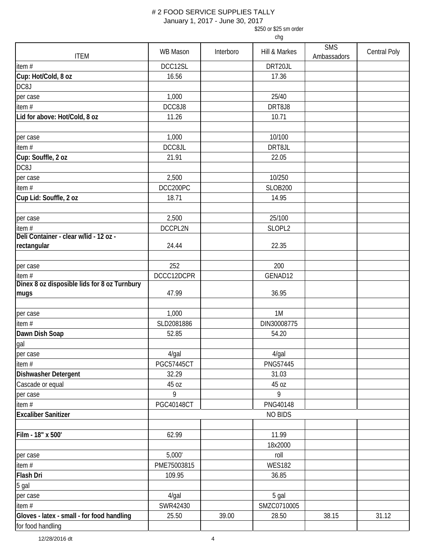January 1, 2017 - June 30, 2017

\$250 or \$25 sm order

| <b>ITEM</b>                                  | <b>WB Mason</b>   | Interboro | Hill & Markes  | <b>SMS</b><br>Ambassadors | <b>Central Poly</b> |
|----------------------------------------------|-------------------|-----------|----------------|---------------------------|---------------------|
| item#                                        | DCC12SL           |           | DRT20JL        |                           |                     |
| Cup: Hot/Cold, 8 oz                          | 16.56             |           | 17.36          |                           |                     |
| DC8J                                         |                   |           |                |                           |                     |
| per case                                     | 1,000             |           | 25/40          |                           |                     |
| item #                                       | DCC8J8            |           | DRT8J8         |                           |                     |
| Lid for above: Hot/Cold, 8 oz                | 11.26             |           | 10.71          |                           |                     |
|                                              |                   |           |                |                           |                     |
| per case                                     | 1,000             |           | 10/100         |                           |                     |
| item #                                       | DCC8JL            |           | DRT8JL         |                           |                     |
| Cup: Souffle, 2 oz                           | 21.91             |           | 22.05          |                           |                     |
| DC8J                                         |                   |           |                |                           |                     |
| per case                                     | 2,500             |           | 10/250         |                           |                     |
| item #                                       | DCC200PC          |           | <b>SLOB200</b> |                           |                     |
| Cup Lid: Souffle, 2 oz                       | 18.71             |           | 14.95          |                           |                     |
|                                              |                   |           |                |                           |                     |
| per case                                     | 2,500             |           | 25/100         |                           |                     |
| item $#$                                     | DCCPL2N           |           | SLOPL2         |                           |                     |
| Deli Container - clear w/lid - 12 oz -       |                   |           |                |                           |                     |
| rectangular                                  | 24.44             |           | 22.35          |                           |                     |
|                                              |                   |           |                |                           |                     |
| per case                                     | 252               |           | 200            |                           |                     |
| item #                                       | DCCC12DCPR        |           | GENAD12        |                           |                     |
| Dinex 8 oz disposible lids for 8 oz Turnbury |                   |           |                |                           |                     |
| mugs                                         | 47.99             |           | 36.95          |                           |                     |
|                                              |                   |           |                |                           |                     |
| per case                                     | 1,000             |           | 1M             |                           |                     |
| item #                                       | SLD2081886        |           | DIN30008775    |                           |                     |
| Dawn Dish Soap                               | 52.85             |           | 54.20          |                           |                     |
| gal<br>per case                              |                   |           |                |                           |                     |
|                                              | 4/gal             |           | 4/gal          |                           |                     |
| item#                                        | <b>PGC57445CT</b> |           | PNG57445       |                           |                     |
| Dishwasher Detergent                         | 32.29             |           | 31.03          |                           |                     |
| Cascade or equal                             | 45 oz             |           | 45 oz          |                           |                     |
| per case                                     | 9                 |           | 9              |                           |                     |
| item #                                       | <b>PGC40148CT</b> |           | PNG40148       |                           |                     |
| <b>Excaliber Sanitizer</b>                   |                   |           | <b>NO BIDS</b> |                           |                     |
|                                              |                   |           |                |                           |                     |
| Film - 18" x 500'                            | 62.99             |           | 11.99          |                           |                     |
|                                              |                   |           | 18x2000        |                           |                     |
| per case                                     | 5,000'            |           | roll           |                           |                     |
| item#                                        | PME75003815       |           | <b>WES182</b>  |                           |                     |
| Flash Dri                                    | 109.95            |           | 36.85          |                           |                     |
| 5 gal                                        |                   |           |                |                           |                     |
| per case                                     | $4$ /gal          |           | 5 gal          |                           |                     |
| item #                                       | SWR42430          |           | SMZC0710005    |                           |                     |
| Gloves - latex - small - for food handling   | 25.50             | 39.00     | 28.50          | 38.15                     | 31.12               |
| for food handling                            |                   |           |                |                           |                     |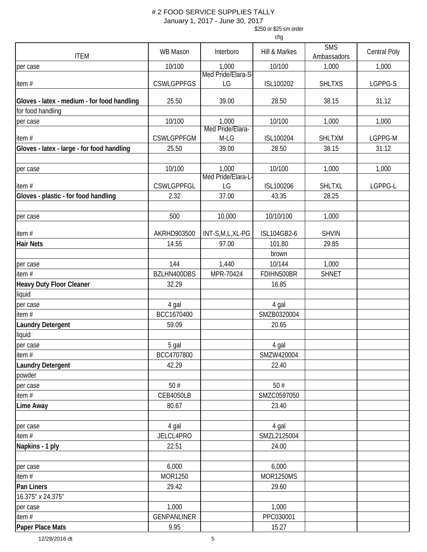January 1, 2017 - June 30, 2017

\$250 or \$25 sm order

| <b>ITEM</b>                                 | <b>WB Mason</b>    | Interboro                  | Hill & Markes    | <b>SMS</b><br>Ambassadors | Central Poly |
|---------------------------------------------|--------------------|----------------------------|------------------|---------------------------|--------------|
| per case                                    | 10/100             | 1,000                      | 10/100           | 1,000                     | 1,000        |
|                                             |                    | Med Pride/Elara-S-         |                  |                           |              |
| item#                                       | <b>CSWLGPPFGS</b>  | LG                         | ISL100202        | <b>SHLTXS</b>             | LGPPG-S      |
| Gloves - latex - medium - for food handling | 25.50              | 39.00                      | 28.50            | 38.15                     | 31.12        |
| for food handling                           |                    |                            |                  |                           |              |
| per case                                    | 10/100             | 1,000                      | 10/100           | 1,000                     | 1,000        |
|                                             |                    | Med Pride/Elara-           |                  |                           |              |
| item#                                       | <b>CSWLGPPFGM</b>  | M-LG                       | ISL100204        | <b>SHLTXM</b>             | LGPPG-M      |
| Gloves - latex - large - for food handling  | 25.50              | 39.00                      | 28.50            | 38.15                     | 31.12        |
|                                             |                    |                            |                  |                           |              |
| per case                                    | 10/100             | 1,000<br>Med Pride/Elara-L | 10/100           | 1,000                     | 1,000        |
| item#                                       | <b>CSWLGPPFGL</b>  | LG                         | ISL100206        | <b>SHLTXL</b>             | LGPPG-L      |
| Gloves - plastic - for food handling        | 2.32               | 37.00                      | 43.35            | 28.25                     |              |
|                                             |                    |                            |                  |                           |              |
| per case                                    | 500                | 10,000                     | 10/10/100        | 1,000                     |              |
| item#                                       | AKRHD903500        | INT-S,M,L,XL-PG            | ISL104GB2-6      | <b>SHVIN</b>              |              |
| <b>Hair Nets</b>                            | 14.55              | 97.00                      | 101.80           | 29.85                     |              |
|                                             |                    |                            | brown            |                           |              |
| per case                                    | 144                | 1,440                      | 10/144           | 1,000                     |              |
| item $#$                                    | BZLHN400DBS        | MPR-70424                  | FDIHN500BR       | <b>SHNET</b>              |              |
| <b>Heavy Duty Floor Cleaner</b>             | 32.29              |                            | 16.85            |                           |              |
| liquid                                      |                    |                            |                  |                           |              |
| per case                                    | 4 gal              |                            | 4 gal            |                           |              |
| item $#$                                    | BCC1670400         |                            | SMZB0320004      |                           |              |
| <b>Laundry Detergent</b>                    | 59.09              |                            | 20.65            |                           |              |
| liquid                                      |                    |                            |                  |                           |              |
| per case                                    | 5 gal              |                            | 4 gal            |                           |              |
| item#                                       | BCC4707800         |                            | SMZW420004       |                           |              |
| <b>Laundry Detergent</b>                    | 42.29              |                            | 22.40            |                           |              |
| powder                                      |                    |                            |                  |                           |              |
| per case                                    | 50#                |                            | 50#              |                           |              |
| item $#$                                    | <b>CEB4050LB</b>   |                            | SMZC0597050      |                           |              |
| <b>Lime Away</b>                            | 80.67              |                            | 23.40            |                           |              |
|                                             |                    |                            |                  |                           |              |
| per case                                    | 4 gal              |                            | 4 gal            |                           |              |
| item#                                       | JELCL4PRO          |                            | SMZL2125004      |                           |              |
| Napkins - 1 ply                             | 22.51              |                            | 24.00            |                           |              |
| per case                                    | 6,000              |                            | 6,000            |                           |              |
| item $#$                                    | MOR1250            |                            | <b>MOR1250MS</b> |                           |              |
| Pan Liners                                  | 29.42              |                            | 29.60            |                           |              |
| 16.375" x 24.375"                           |                    |                            |                  |                           |              |
| per case                                    | 1,000              |                            | 1,000            |                           |              |
| item $#$                                    | <b>GENPANLINER</b> |                            | PPC030001        |                           |              |
| Paper Place Mats                            | 9.95               |                            | 15.27            |                           |              |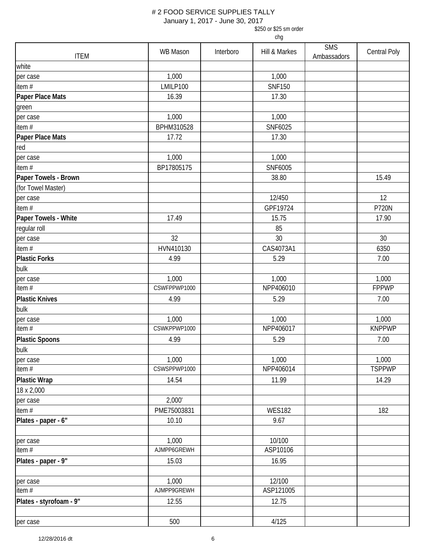January 1, 2017 - June 30, 2017

\$250 or \$25 sm order

|                         | WB Mason     | Interboro | Hill & Markes | <b>SMS</b>  | <b>Central Poly</b> |
|-------------------------|--------------|-----------|---------------|-------------|---------------------|
| <b>ITEM</b>             |              |           |               | Ambassadors |                     |
| white                   |              |           |               |             |                     |
| per case                | 1,000        |           | 1,000         |             |                     |
| item#                   | LMILP100     |           | <b>SNF150</b> |             |                     |
| Paper Place Mats        | 16.39        |           | 17.30         |             |                     |
| green                   |              |           |               |             |                     |
| per case                | 1,000        |           | 1,000         |             |                     |
| item#                   | BPHM310528   |           | SNF6025       |             |                     |
| Paper Place Mats        | 17.72        |           | 17.30         |             |                     |
| red                     |              |           |               |             |                     |
| per case                | 1,000        |           | 1,000         |             |                     |
| item#                   | BP17805175   |           | SNF6005       |             |                     |
| Paper Towels - Brown    |              |           | 38.80         |             | 15.49               |
| (for Towel Master)      |              |           |               |             |                     |
| per case                |              |           | 12/450        |             | 12                  |
| item#                   |              |           | GPF19724      |             | <b>P720N</b>        |
| Paper Towels - White    | 17.49        |           | 15.75         |             | 17.90               |
| regular roll            |              |           | 85            |             |                     |
| per case                | 32           |           | 30            |             | 30                  |
| item#                   | HVN410130    |           | CAS4073A1     |             | 6350                |
| <b>Plastic Forks</b>    | 4.99         |           | 5.29          |             | 7.00                |
| bulk                    |              |           |               |             |                     |
| per case                | 1,000        |           | 1,000         |             | 1,000               |
| item $#$                | CSWFPPWP1000 |           | NPP406010     |             | <b>FPPWP</b>        |
| <b>Plastic Knives</b>   | 4.99         |           | 5.29          |             | 7.00                |
| bulk                    |              |           |               |             |                     |
| per case                | 1,000        |           | 1,000         |             | 1,000               |
| item#                   | CSWKPPWP1000 |           | NPP406017     |             | <b>KNPPWP</b>       |
| <b>Plastic Spoons</b>   | 4.99         |           | 5.29          |             | 7.00                |
| bulk                    |              |           |               |             |                     |
| per case                | 1,000        |           | 1,000         |             | 1,000               |
| item#                   | CSWSPPWP1000 |           | NPP406014     |             | <b>TSPPWP</b>       |
| <b>Plastic Wrap</b>     | 14.54        |           | 11.99         |             | 14.29               |
| 18 x 2,000              |              |           |               |             |                     |
| per case                | 2,000'       |           |               |             |                     |
| item#                   | PME75003831  |           | <b>WES182</b> |             | 182                 |
| Plates - paper - 6"     | 10.10        |           | 9.67          |             |                     |
| per case                | 1,000        |           | 10/100        |             |                     |
| item#                   | AJMPP6GREWH  |           | ASP10106      |             |                     |
| Plates - paper - 9"     | 15.03        |           | 16.95         |             |                     |
| per case                | 1,000        |           | 12/100        |             |                     |
| item#                   | AJMPP9GREWH  |           | ASP121005     |             |                     |
| Plates - styrofoam - 9" | 12.55        |           | 12.75         |             |                     |
| per case                | 500          |           | 4/125         |             |                     |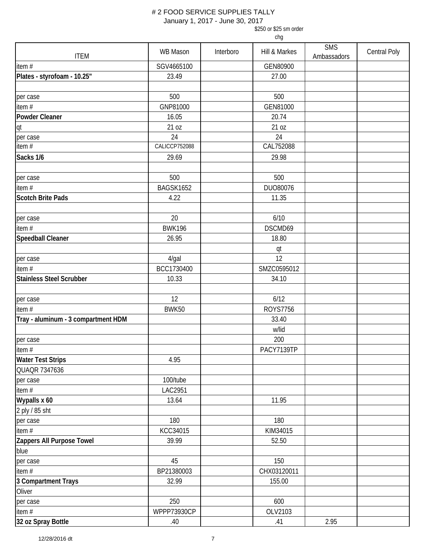January 1, 2017 - June 30, 2017

\$250 or \$25 sm order

| <b>ITEM</b>                         | WB Mason      | Interboro | Hill & Markes   | <b>SMS</b><br>Ambassadors | Central Poly |
|-------------------------------------|---------------|-----------|-----------------|---------------------------|--------------|
| item $#$                            | SGV4665100    |           | GEN80900        |                           |              |
| Plates - styrofoam - 10.25"         | 23.49         |           | 27.00           |                           |              |
|                                     |               |           |                 |                           |              |
| per case                            | 500           |           | 500             |                           |              |
| item#                               | GNP81000      |           | GEN81000        |                           |              |
| Powder Cleaner                      | 16.05         |           | 20.74           |                           |              |
| qt                                  | 21 oz         |           | 21 oz           |                           |              |
| per case                            | 24            |           | 24              |                           |              |
| item $#$                            | CALICCP752088 |           | CAL752088       |                           |              |
| Sacks 1/6                           | 29.69         |           | 29.98           |                           |              |
|                                     |               |           |                 |                           |              |
| per case                            | 500           |           | 500             |                           |              |
| item $#$                            | BAGSK1652     |           | DUO80076        |                           |              |
| <b>Scotch Brite Pads</b>            | 4.22          |           | 11.35           |                           |              |
|                                     |               |           |                 |                           |              |
| per case                            | 20            |           | 6/10            |                           |              |
| item #                              | <b>BWK196</b> |           | DSCMD69         |                           |              |
| Speedball Cleaner                   | 26.95         |           | 18.80           |                           |              |
|                                     |               |           | qt              |                           |              |
| per case                            | $4$ /gal      |           | 12              |                           |              |
| item $#$                            | BCC1730400    |           | SMZC0595012     |                           |              |
| <b>Stainless Steel Scrubber</b>     | 10.33         |           | 34.10           |                           |              |
|                                     |               |           |                 |                           |              |
| per case                            | 12            |           | 6/12            |                           |              |
| item $#$                            | BWK50         |           | <b>ROYS7756</b> |                           |              |
| Tray - aluminum - 3 compartment HDM |               |           | 33.40           |                           |              |
|                                     |               |           | w/lid           |                           |              |
| per case                            |               |           | 200             |                           |              |
| item $#$                            |               |           | PACY7139TP      |                           |              |
| <b>Water Test Strips</b>            | 4.95          |           |                 |                           |              |
| QUAQR 7347636                       |               |           |                 |                           |              |
| per case                            | 100/tube      |           |                 |                           |              |
| item #                              | LAC2951       |           |                 |                           |              |
| Wypalls x 60                        | 13.64         |           | 11.95           |                           |              |
| 2 ply / 85 sht                      |               |           |                 |                           |              |
| per case                            | 180           |           | 180             |                           |              |
| item#                               | KCC34015      |           | KIM34015        |                           |              |
| Zappers All Purpose Towel           | 39.99         |           | 52.50           |                           |              |
| blue                                |               |           |                 |                           |              |
| per case                            | 45            |           | 150             |                           |              |
| item#                               | BP21380003    |           | CHX03120011     |                           |              |
| 3 Compartment Trays                 | 32.99         |           | 155.00          |                           |              |
| Oliver                              |               |           |                 |                           |              |
| per case                            | 250           |           | 600             |                           |              |
| item #                              | WPPP73930CP   |           | OLV2103         |                           |              |
| 32 oz Spray Bottle                  | .40           |           | .41             | 2.95                      |              |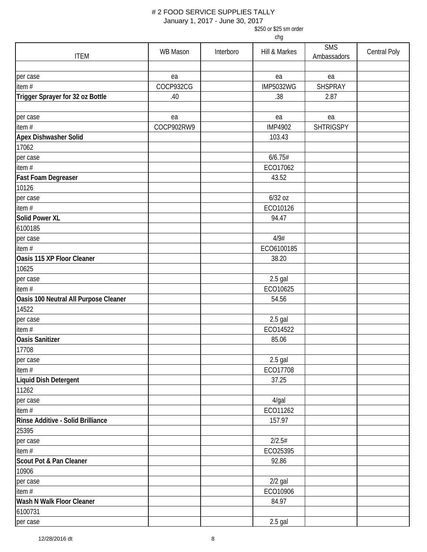January 1, 2017 - June 30, 2017

\$250 or \$25 sm order

| <b>ITEM</b>                           | WB Mason   | Interboro | Hill & Markes    | <b>SMS</b>       | Central Poly |
|---------------------------------------|------------|-----------|------------------|------------------|--------------|
|                                       |            |           |                  | Ambassadors      |              |
| per case                              | ea         |           | ea               | ea               |              |
| item#                                 | COCP932CG  |           | <b>IMP5032WG</b> | SHSPRAY          |              |
| Trigger Sprayer for 32 oz Bottle      | .40        |           | .38              | 2.87             |              |
|                                       |            |           |                  |                  |              |
| per case                              | ea         |           | ea               | ea               |              |
| item $#$                              | COCP902RW9 |           | <b>IMP4902</b>   | <b>SHTRIGSPY</b> |              |
| Apex Dishwasher Solid                 |            |           | 103.43           |                  |              |
| 17062                                 |            |           |                  |                  |              |
| per case                              |            |           | 6/6.75#          |                  |              |
| item#                                 |            |           | ECO17062         |                  |              |
| Fast Foam Degreaser                   |            |           | 43.52            |                  |              |
| 10126                                 |            |           |                  |                  |              |
| per case                              |            |           | 6/32 oz          |                  |              |
| item#                                 |            |           | ECO10126         |                  |              |
| <b>Solid Power XL</b>                 |            |           | 94.47            |                  |              |
| 6100185                               |            |           |                  |                  |              |
| per case                              |            |           | 4/9#             |                  |              |
| item#                                 |            |           | ECO6100185       |                  |              |
| Oasis 115 XP Floor Cleaner            |            |           | 38.20            |                  |              |
| 10625                                 |            |           |                  |                  |              |
| per case                              |            |           | $2.5$ gal        |                  |              |
| item#                                 |            |           | ECO10625         |                  |              |
| Oasis 100 Neutral All Purpose Cleaner |            |           | 54.56            |                  |              |
| 14522                                 |            |           |                  |                  |              |
| per case                              |            |           | 2.5 gal          |                  |              |
| item#                                 |            |           | ECO14522         |                  |              |
| <b>Oasis Sanitizer</b>                |            |           | 85.06            |                  |              |
| 17708                                 |            |           |                  |                  |              |
| per case                              |            |           | $2.5$ gal        |                  |              |
| item $#$                              |            |           | ECO17708         |                  |              |
| Liquid Dish Detergent                 |            |           | 37.25            |                  |              |
| 11262                                 |            |           |                  |                  |              |
| per case                              |            |           | $4$ /gal         |                  |              |
| item#                                 |            |           | ECO11262         |                  |              |
| Rinse Additive - Solid Brilliance     |            |           | 157.97           |                  |              |
| 25395                                 |            |           |                  |                  |              |
| per case                              |            |           | 2/2.5#           |                  |              |
| item#                                 |            |           | ECO25395         |                  |              |
| Scout Pot & Pan Cleaner               |            |           | 92.86            |                  |              |
| 10906                                 |            |           |                  |                  |              |
| per case                              |            |           | $2/2$ gal        |                  |              |
| item#                                 |            |           | ECO10906         |                  |              |
| Wash N Walk Floor Cleaner             |            |           | 84.97            |                  |              |
| 6100731                               |            |           |                  |                  |              |
| per case                              |            |           | $2.5$ gal        |                  |              |